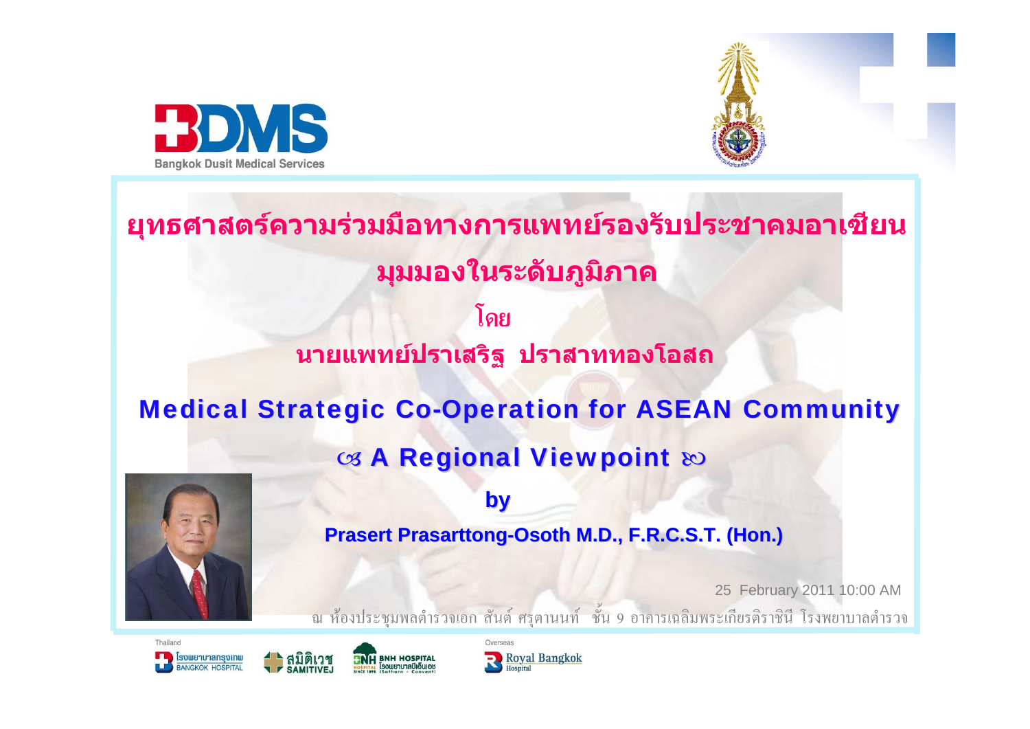



**โดยนายแพทย ปราเสริฐ ปราสาททองโอสถ ย ุ ทธศาสตรความรวมมือทางการแพทยรองรับประชาคมอาเซียน ม ุ มมองในระดับภ ู ม ิ ภาค Medical Strategic Co-Operation for ASEAN Community** ශ A Regional Viewpoint හ



**by Prasert Prasarttong-Osoth M.D., F.R.C.S.T. (Hon.)** 

25 February 2011 10:00 AM ณ ห้องประชุมพลต์ ารวจเอก ส นต  $\overline{a}$  ศร ุ ตานนท d ชน  $\frac{2}{3}$  9 อาคารเฉล มพระเก  $\overline{\phantom{0}}$  ยรต  $\supset$  ราช นีโรงพยาบาลตํารวจ





**NH BNH HOSPITAL** 

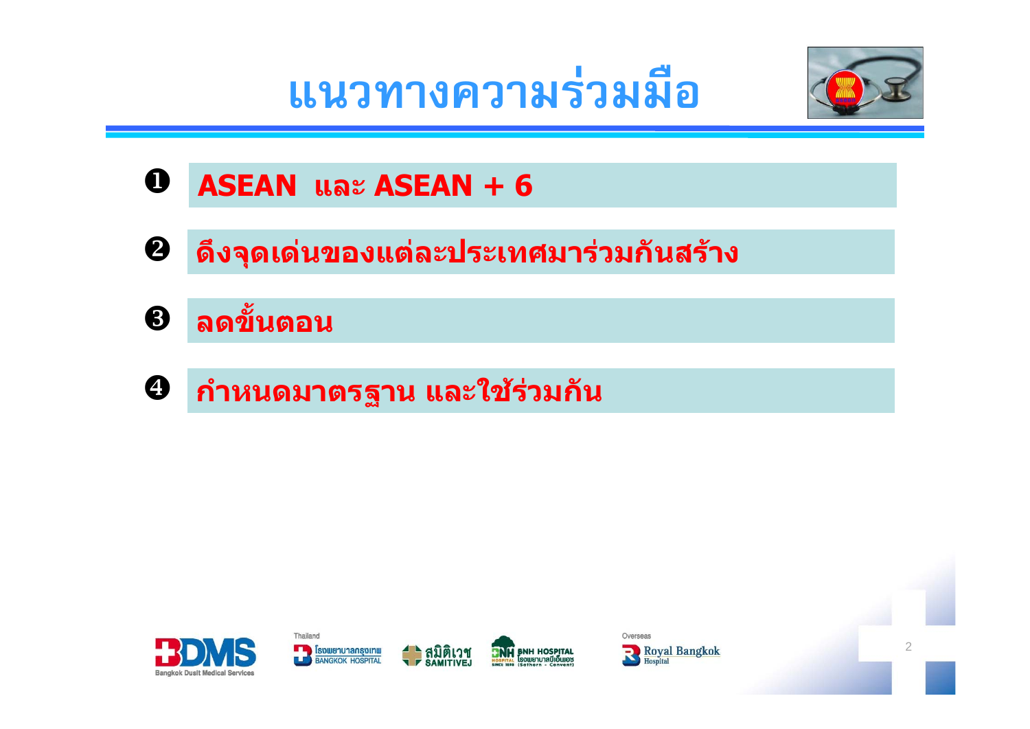**แนวทางความรวมม อ ื**



- $\mathbf 0$ **ASEAN และ ASEAN + 6**
- $\boldsymbol{Q}$ **ดึงจุดเดนของแตละประเทศมารวมกันสราง**
- $\bigcirc$ **ลดขนตอน ั้**
- $\boldsymbol{\Theta}$ **กําหนดมาตรฐาน และใช รวมกั น**

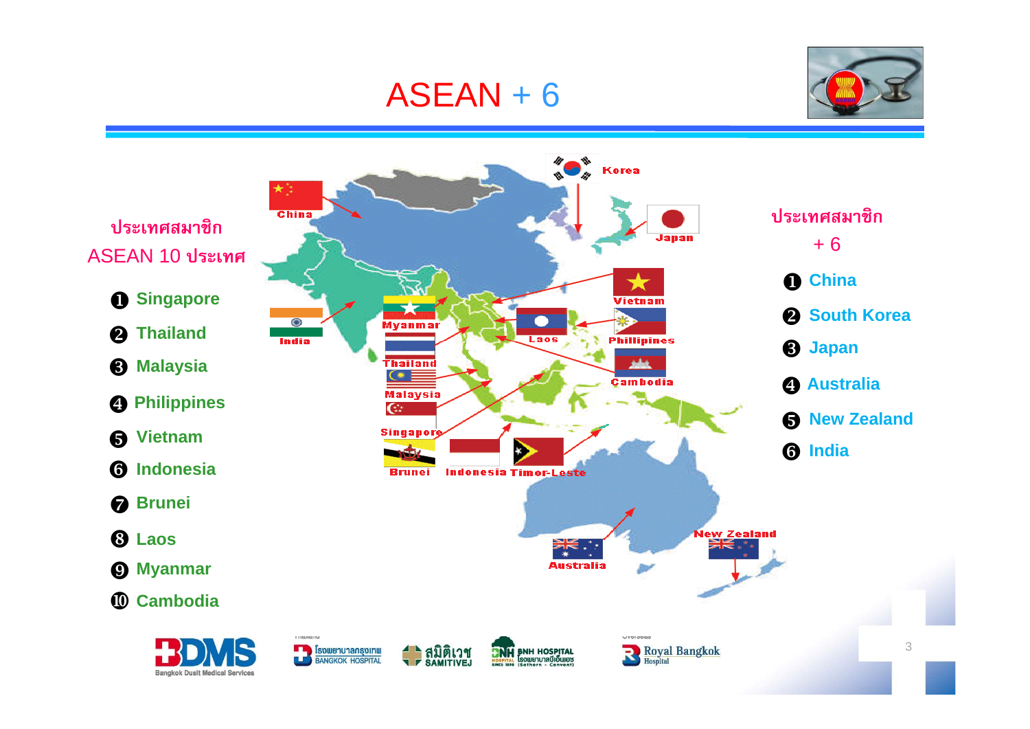## ASEAN + 6



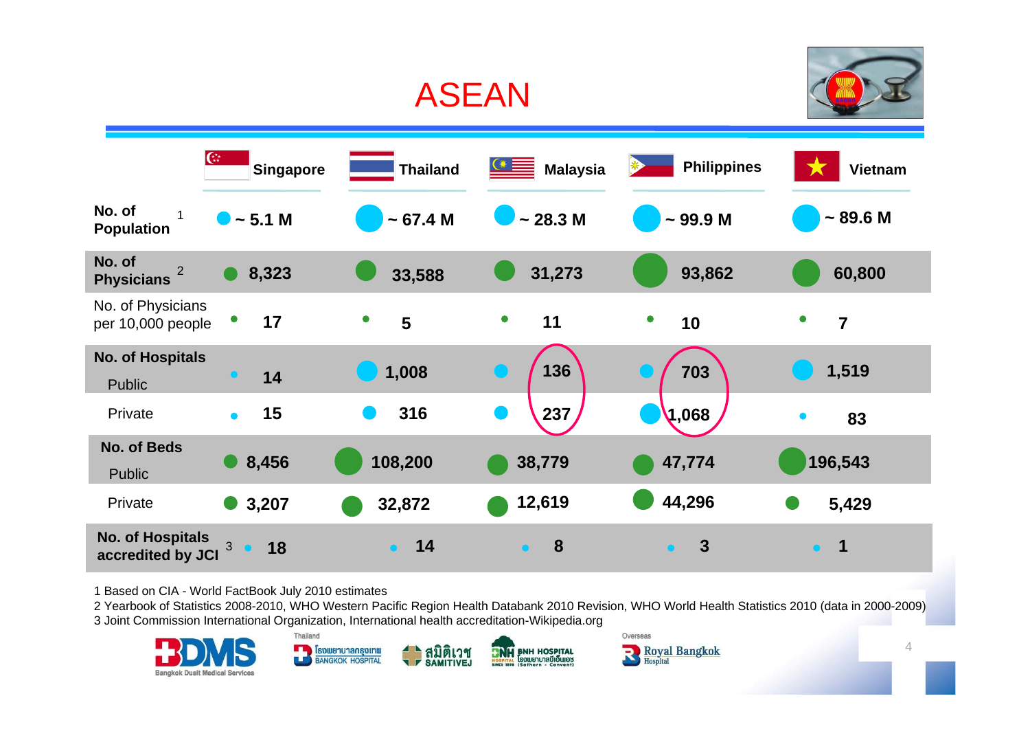## ASEAN



|                                               | $\mathbb{G}$<br><b>Singapore</b> | <b>Thailand</b> | $\triangleq$<br><b>Malaysia</b> | <b>Philippines</b>            | <b>Vietnam</b>              |
|-----------------------------------------------|----------------------------------|-----------------|---------------------------------|-------------------------------|-----------------------------|
| No. of<br>$\mathbf{1}$<br><b>Population</b>   | $\bullet$ ~ 5.1 M                | ~57.4~M         | ~28.3~M                         | $~1$ 99.9 M                   | $~5$ 89.6 M                 |
| No. of<br>$\overline{2}$<br><b>Physicians</b> | 8,323                            | 33,588          | 31,273                          | 93,862                        | 60,800                      |
| No. of Physicians<br>per 10,000 people        | 17                               | $\bullet$<br>5  | $\bullet$<br>11                 | $\bullet$<br>10               | $\bullet$<br>$\overline{7}$ |
| <b>No. of Hospitals</b><br><b>Public</b>      | 14<br>$\bullet$                  | 1,008           | 136                             | 703                           | 1,519                       |
| Private                                       | 15<br>$\bullet$                  | 316             | 237<br>D)                       | (1,068)                       | $\bullet$<br>83             |
| <b>No. of Beds</b><br><b>Public</b>           | 8,456                            | 108,200         | 38,779                          | 47,774                        | 196,543                     |
| Private                                       | 3,207                            | 32,872          | 12,619                          | 44,296                        | 5,429                       |
| <b>No. of Hospitals</b><br>accredited by JCI  | 3<br>18<br>$\bullet$             | 14<br>$\bullet$ | 8<br>$\bullet$                  | $\boldsymbol{3}$<br>$\bullet$ | -1<br>$\bullet$             |

1 Based on CIA - World FactBook July 2010 estimates

2 Yearbook of Statistics 2008-2010, WHO Western Pacific Region Health Databank 2010 Revision, WHO World Health Statistics 2010 (data in 2000-2009)

3 Joint Commission International Organization, International health accreditation-Wikipedia.org

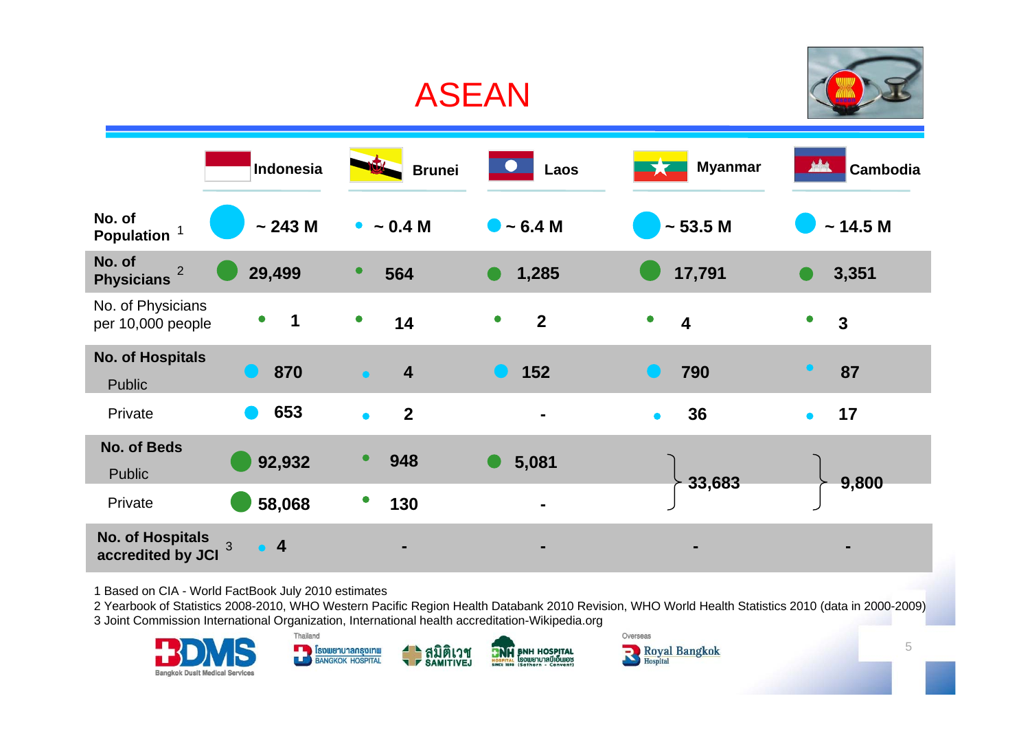

1 Based on CIA - World FactBook July 2010 estimates

2 Yearbook of Statistics 2008-2010, WHO Western Pacific Region Health Databank 2010 Revision, WHO World Health Statistics 2010 (data in 2000-2009) 3 Joint Commission International Organization, International health accreditation-Wikipedia.org



5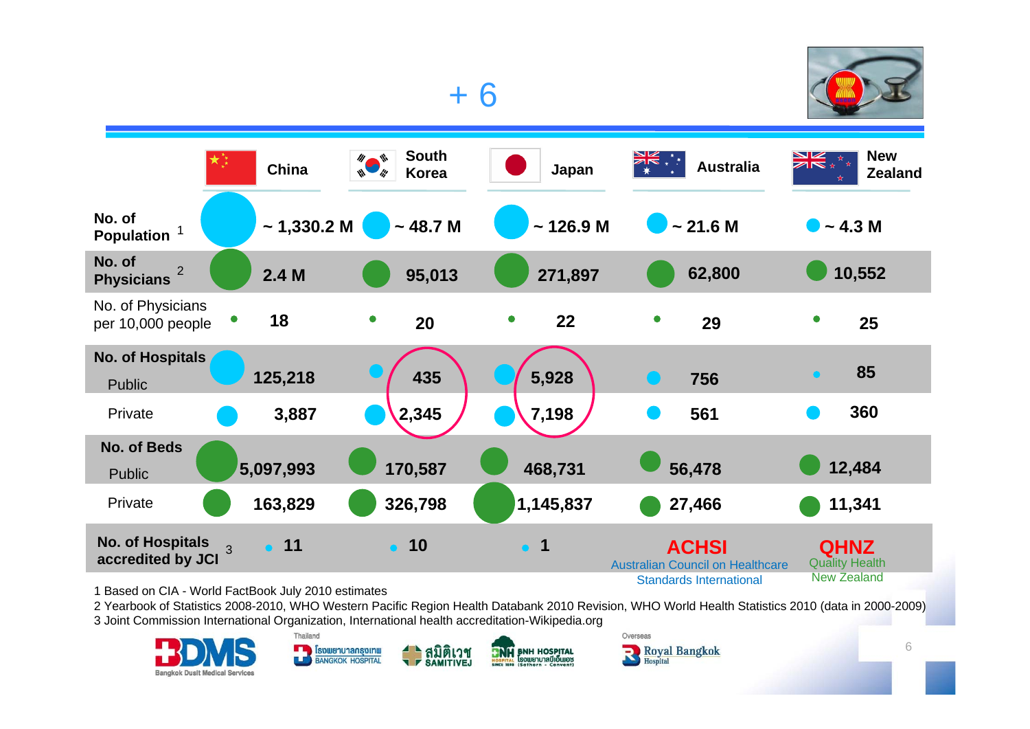

## + 6



1 Based on CIA - World FactBook July 2010 estimates

2 Yearbook of Statistics 2008-2010, WHO Western Pacific Region Health Databank 2010 Revision, WHO World Health Statistics 2010 (data in 2000-2009) 3 Joint Commission International Organization, International health accreditation-Wikipedia.org

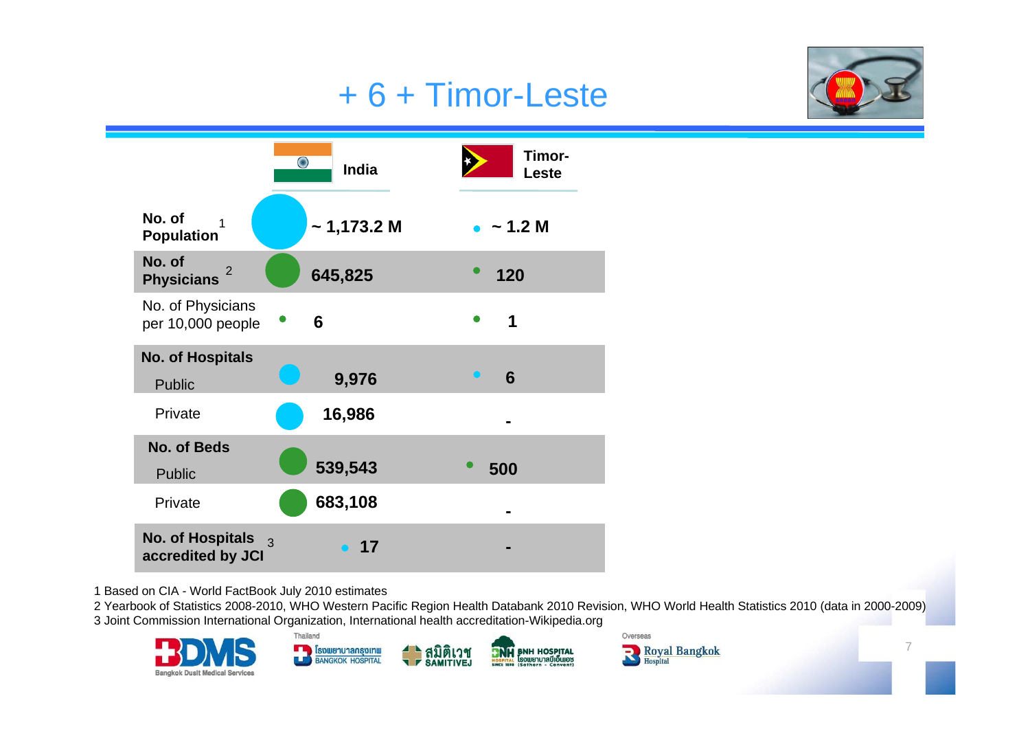## + 6 + Timor-Leste





1 Based on CIA - World FactBook July 2010 estimates

2 Yearbook of Statistics 2008-2010, WHO Western Pacific Region Health Databank 2010 Revision, WHO World Health Statistics 2010 (data in 2000-2009) 3 Joint Commission International Organization, International health accreditation-Wikipedia.org



7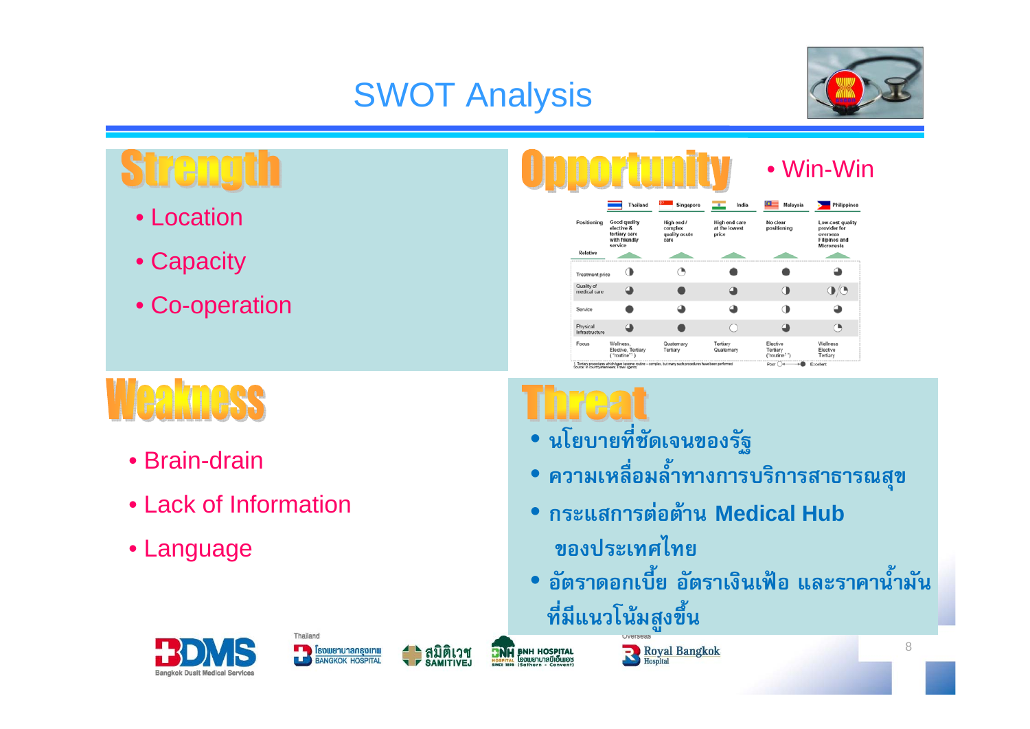# SWOT Analysis



# streno

- Location
- Capacity
- Co-operation



# **Weakness**

- Brain-drain
- Lack of Information
- Language

- **นโยบายที่ชัดเจนของรัฐ**
- **ความเหลื ่อมล ้ ําทางการบร ิการสาธารณส ุ ข**
- **กระแสการตอตาน Medical Hub ของประเทศไทย**
- • **อัตราดอกเบี ้ย อ ั ตราเง ินเฟอ และราคาน ้ ําม ั**ือตราดอกเบย อตราเงนเพอ และราคานามน<br>ที่มีแนวโน้มสงขึ้น **ี ่มีแนวโนมส ู งข ึ้น**







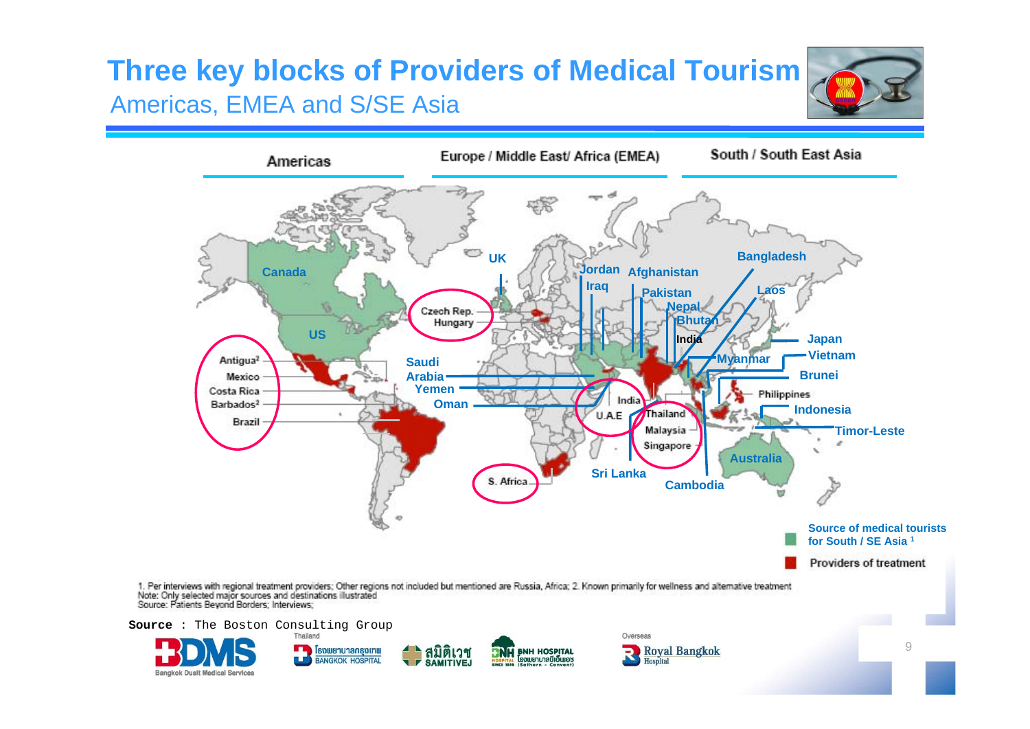## **Three key blocks of Providers of Medical Tourism** Americas, EMEA and S/SE Asia



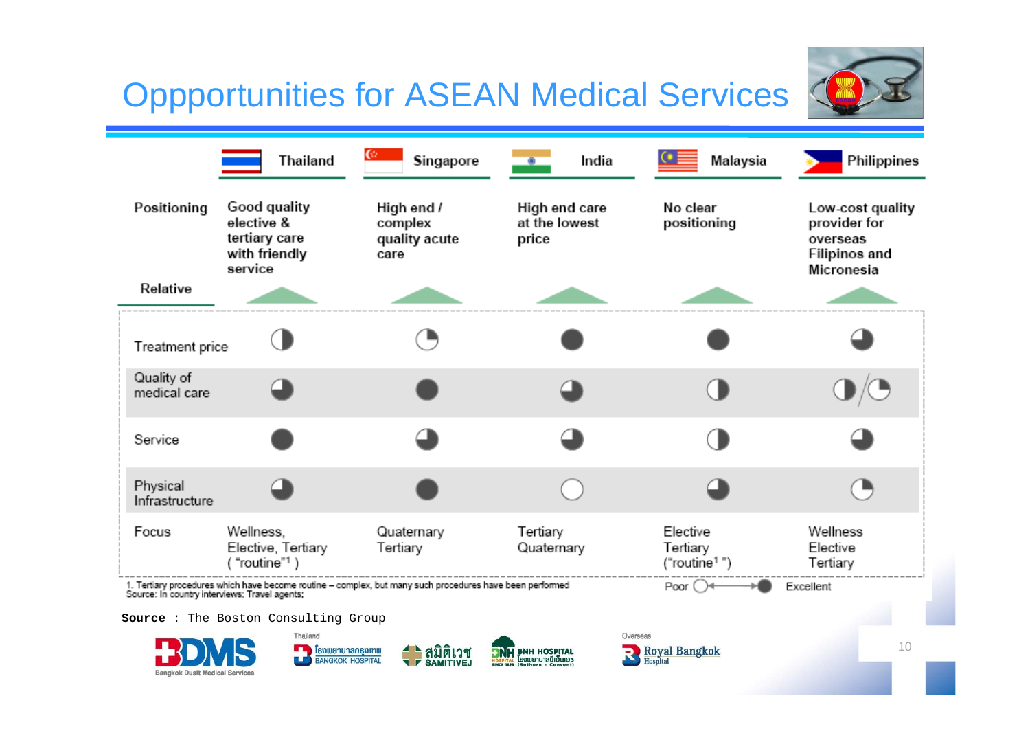## Oppportunities for ASEAN Medical Services